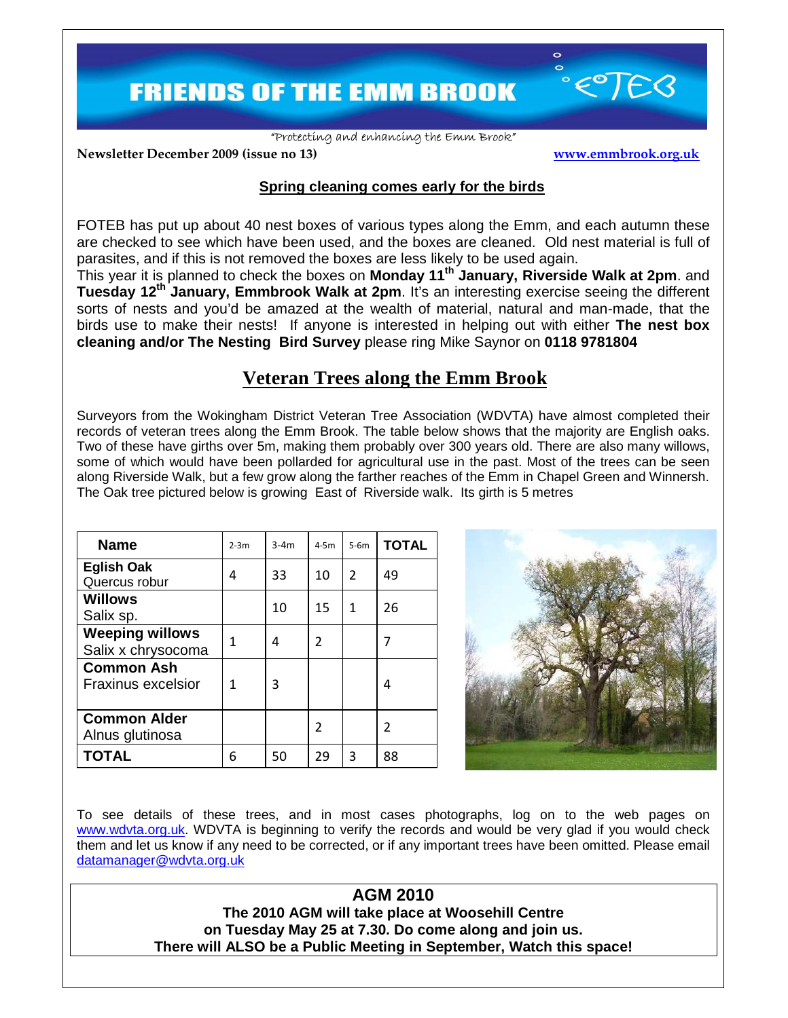**FRIENDS OF THE EMM BROOK** 

"Protecting and enhancing the Emm Brook"

**Newsletter December 2009 (issue no 13) www.emmbrook.org.uk**

 $\circ$ 

## **Spring cleaning comes early for the birds**

FOTEB has put up about 40 nest boxes of various types along the Emm, and each autumn these are checked to see which have been used, and the boxes are cleaned. Old nest material is full of parasites, and if this is not removed the boxes are less likely to be used again.

This year it is planned to check the boxes on **Monday 11th January, Riverside Walk at 2pm**. and **Tuesday 12th January, Emmbrook Walk at 2pm**. It's an interesting exercise seeing the different sorts of nests and you'd be amazed at the wealth of material, natural and man-made, that the birds use to make their nests! If anyone is interested in helping out with either **The nest box cleaning and/or The Nesting Bird Survey** please ring Mike Saynor on **0118 9781804** 

## **Veteran Trees along the Emm Brook**

Surveyors from the Wokingham District Veteran Tree Association (WDVTA) have almost completed their records of veteran trees along the Emm Brook. The table below shows that the majority are English oaks. Two of these have girths over 5m, making them probably over 300 years old. There are also many willows, some of which would have been pollarded for agricultural use in the past. Most of the trees can be seen along Riverside Walk, but a few grow along the farther reaches of the Emm in Chapel Green and Winnersh. The Oak tree pictured below is growing East of Riverside walk. Its girth is 5 metres

| <b>Name</b>                                  | $2-3m$ | $3-4m$ | $4-5m$ | $5-6m$         | <b>TOTAL</b> |
|----------------------------------------------|--------|--------|--------|----------------|--------------|
| <b>Eglish Oak</b><br>Quercus robur           | 4      | 33     | 10     | $\overline{2}$ | 49           |
| <b>Willows</b><br>Salix sp.                  |        | 10     | 15     | 1              | 26           |
| <b>Weeping willows</b><br>Salix x chrysocoma | 1      | 4      | 2      |                |              |
| <b>Common Ash</b><br>Fraxinus excelsior      | 1      | 3      |        |                | 4            |
| <b>Common Alder</b><br>Alnus glutinosa       |        |        | 2      |                | 2            |
| <b>TOTAL</b>                                 | 6      | 50     | 29     | 3              | 88           |



To see details of these trees, and in most cases photographs, log on to the web pages on www.wdvta.org.uk. WDVTA is beginning to verify the records and would be very glad if you would check them and let us know if any need to be corrected, or if any important trees have been omitted. Please email datamanager@wdvta.org.uk

> **AGM 2010 The 2010 AGM will take place at Woosehill Centre on Tuesday May 25 at 7.30. Do come along and join us. There will ALSO be a Public Meeting in September, Watch this space!**